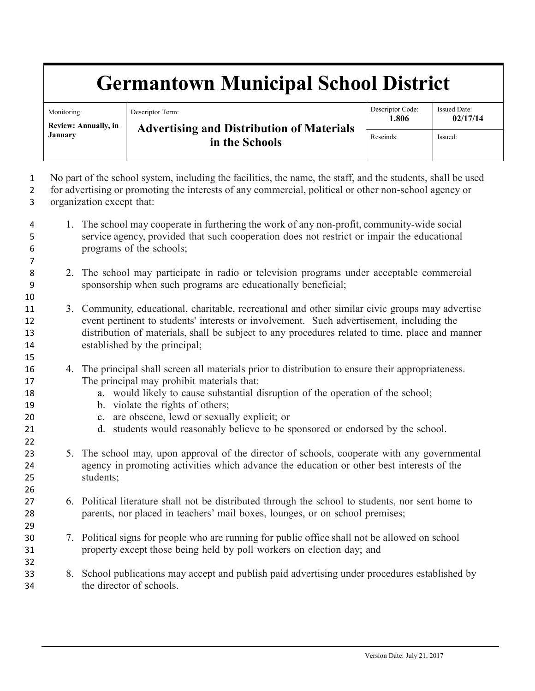## **Germantown Municipal School District**

| Monitoring:<br>Review: Annually, in<br>January | Descriptor Term:<br><b>Advertising and Distribution of Materials</b><br>in the Schools | Descriptor Code:<br>1.806 | <b>Issued Date:</b><br>02/17/14 |
|------------------------------------------------|----------------------------------------------------------------------------------------|---------------------------|---------------------------------|
|                                                |                                                                                        | Rescinds:                 | Issued:                         |

 No part of the school system, including the facilities, the name, the staff, and the students, shall be used for advertising or promoting the interests of any commercial, political or other non-school agency or organization except that:

- 1. The school may cooperate in furthering the work of any non-profit, community-wide social service agency, provided that such cooperation does not restrict or impair the educational programs of the schools;
- 2. The school may participate in radio or television programs under acceptable commercial sponsorship when such programs are educationally beneficial;
- 3. Community, educational, charitable, recreational and other similar civic groups may advertise event pertinent to students' interests or involvement. Such advertisement, including the distribution of materials, shall be subject to any procedures related to time, place and manner established by the principal;
- 4. The principal shall screen all materials prior to distribution to ensure their appropriateness. The principal may prohibit materials that:
- a. would likely to cause substantial disruption of the operation of the school;
- b. violate the rights of others;

- c. are obscene, lewd or sexually explicit; or
- d. students would reasonably believe to be sponsored or endorsed by the school.
- 5. The school may, upon approval of the director of schools, cooperate with any governmental agency in promoting activities which advance the education or other best interests of the students;
- 6. Political literature shall not be distributed through the school to students, nor sent home to parents, nor placed in teachers' mail boxes, lounges, or on school premises;
- 7. Political signs for people who are running for public office shall not be allowed on school property except those being held by poll workers on election day; and
- 8. School publications may accept and publish paid advertising under procedures established by the director of schools.